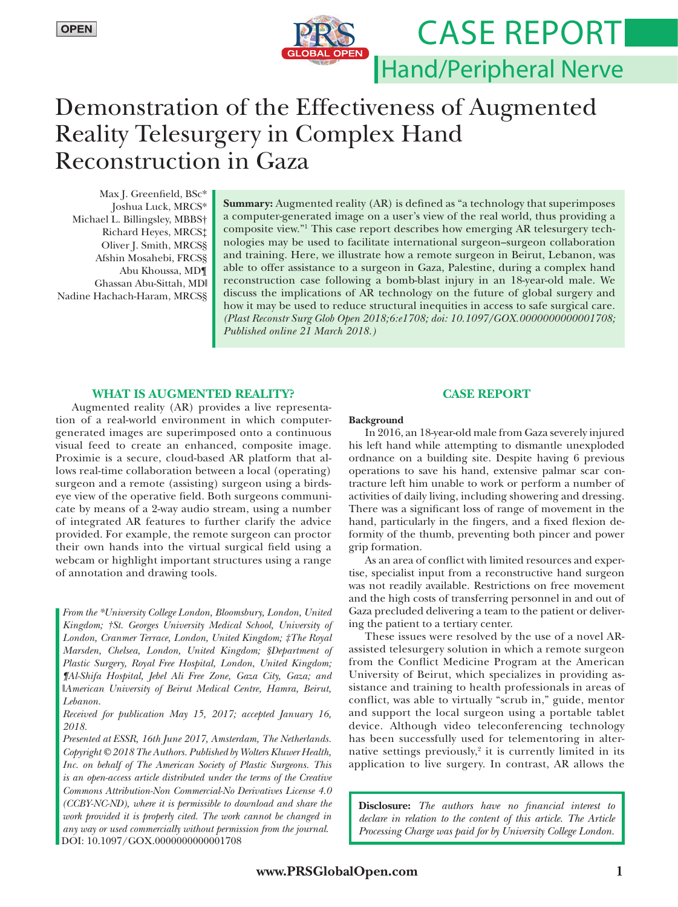# Case Report**BAL OPEN** Hand/Peripheral Nerve

# Demonstration of the Effectiveness of Augmented Reality Telesurgery in Complex Hand Reconstruction in Gaza

Max J. Greenfield, BSc\* Joshua Luck, MRCS\* Michael L. Billingsley, MBBS† Richard Heyes, MRCS‡ Oliver J. Smith, MRCS§ Afshin Mosahebi, FRCS§ Abu Khoussa, MD¶ Ghassan Abu-Sittah, MD‖ Nadine Hachach-Haram, MRCS§

**Summary:** Augmented reality (AR) is defined as "a technology that superimposes a computer-generated image on a user's view of the real world, thus providing a composite view."1 This case report describes how emerging AR telesurgery technologies may be used to facilitate international surgeon–surgeon collaboration and training. Here, we illustrate how a remote surgeon in Beirut, Lebanon, was able to offer assistance to a surgeon in Gaza, Palestine, during a complex hand reconstruction case following a bomb-blast injury in an 18-year-old male. We discuss the implications of AR technology on the future of global surgery and how it may be used to reduce structural inequities in access to safe surgical care. *(Plast Reconstr Surg Glob Open 2018;6:e1708; doi: 10.1097/GOX.0000000000001708; Published online 21 March 2018.)*

## **WHAT IS AUGMENTED REALITY?**

Augmented reality (AR) provides a live representation of a real-world environment in which computergenerated images are superimposed onto a continuous visual feed to create an enhanced, composite image. Proximie is a secure, cloud-based AR platform that allows real-time collaboration between a local (operating) surgeon and a remote (assisting) surgeon using a birdseye view of the operative field. Both surgeons communicate by means of a 2-way audio stream, using a number of integrated AR features to further clarify the advice provided. For example, the remote surgeon can proctor their own hands into the virtual surgical field using a webcam or highlight important structures using a range of annotation and drawing tools.

*From the \*University College London, Bloomsbury, London, United Kingdom; †St. Georges University Medical School, University of London, Cranmer Terrace, London, United Kingdom; ‡The Royal Marsden, Chelsea, London, United Kingdom; §Department of Plastic Surgery, Royal Free Hospital, London, United Kingdom; ¶Al-Shifa Hospital, Jebel Ali Free Zone, Gaza City, Gaza; and*  ‖*American University of Beirut Medical Centre, Hamra, Beirut, Lebanon.*

*Received for publication May 15, 2017; accepted January 16, 2018.*

*Copyright © 2018 The Authors. Published by Wolters Kluwer Health, Inc. on behalf of The American Society of Plastic Surgeons. This is an open-access article distributed under the terms of the [Creative](http://creativecommons.org/licenses/by-nc-nd/4.0/)  [Commons Attribution-Non Commercial-No Derivatives License 4.0](http://creativecommons.org/licenses/by-nc-nd/4.0/)  [\(CCBY-NC-ND\)](http://creativecommons.org/licenses/by-nc-nd/4.0/), where it is permissible to download and share the work provided it is properly cited. The work cannot be changed in any way or used commercially without permission from the journal.* DOI: 10.1097/GOX.0000000000001708 *Presented at ESSR, 16th June 2017, Amsterdam, The Netherlands.*

### **CASE REPORT**

#### **Background**

In 2016, an 18-year-old male from Gaza severely injured his left hand while attempting to dismantle unexploded ordnance on a building site. Despite having 6 previous operations to save his hand, extensive palmar scar contracture left him unable to work or perform a number of activities of daily living, including showering and dressing. There was a significant loss of range of movement in the hand, particularly in the fingers, and a fixed flexion deformity of the thumb, preventing both pincer and power grip formation.

As an area of conflict with limited resources and expertise, specialist input from a reconstructive hand surgeon was not readily available. Restrictions on free movement and the high costs of transferring personnel in and out of Gaza precluded delivering a team to the patient or delivering the patient to a tertiary center.

These issues were resolved by the use of a novel ARassisted telesurgery solution in which a remote surgeon from the Conflict Medicine Program at the American University of Beirut, which specializes in providing assistance and training to health professionals in areas of conflict, was able to virtually "scrub in," guide, mentor and support the local surgeon using a portable tablet device. Although video teleconferencing technology has been successfully used for telementoring in alternative settings previously,<sup>2</sup> it is currently limited in its application to live surgery. In contrast, AR allows the

**Disclosure:** *The authors have no financial interest to declare in relation to the content of this article. The Article Processing Charge was paid for by University College London.*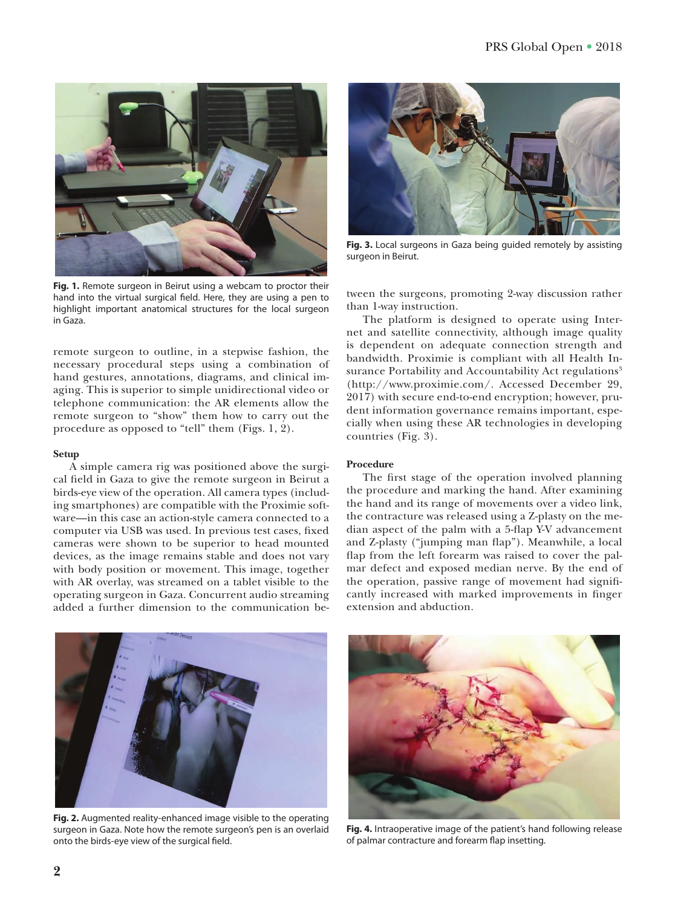

**Fig. 1.** Remote surgeon in Beirut using a webcam to proctor their hand into the virtual surgical field. Here, they are using a pen to highlight important anatomical structures for the local surgeon in Gaza.

remote surgeon to outline, in a stepwise fashion, the necessary procedural steps using a combination of hand gestures, annotations, diagrams, and clinical imaging. This is superior to simple unidirectional video or telephone communication: the AR elements allow the remote surgeon to "show" them how to carry out the procedure as opposed to "tell" them (Figs. 1, 2).

#### **Setup**

A simple camera rig was positioned above the surgical field in Gaza to give the remote surgeon in Beirut a birds-eye view of the operation. All camera types (including smartphones) are compatible with the Proximie software—in this case an action-style camera connected to a computer via USB was used. In previous test cases, fixed cameras were shown to be superior to head mounted devices, as the image remains stable and does not vary with body position or movement. This image, together with AR overlay, was streamed on a tablet visible to the operating surgeon in Gaza. Concurrent audio streaming added a further dimension to the communication be-



**Fig. 3.** Local surgeons in Gaza being guided remotely by assisting surgeon in Beirut.

tween the surgeons, promoting 2-way discussion rather than 1-way instruction.

The platform is designed to operate using Internet and satellite connectivity, although image quality is dependent on adequate connection strength and bandwidth. Proximie is compliant with all Health Insurance Portability and Accountability Act regulations<sup>3</sup> [\(http://www.proximie.com/.](http://www.proximie.com/) Accessed December 29, 2017) with secure end-to-end encryption; however, prudent information governance remains important, especially when using these AR technologies in developing countries (Fig. 3).

#### **Procedure**

The first stage of the operation involved planning the procedure and marking the hand. After examining the hand and its range of movements over a video link, the contracture was released using a Z-plasty on the median aspect of the palm with a 5-flap Y-V advancement and Z-plasty ("jumping man flap"). Meanwhile, a local flap from the left forearm was raised to cover the palmar defect and exposed median nerve. By the end of the operation, passive range of movement had significantly increased with marked improvements in finger extension and abduction.



**Fig. 2.** Augmented reality-enhanced image visible to the operating surgeon in Gaza. Note how the remote surgeon's pen is an overlaid onto the birds-eye view of the surgical field.



**Fig. 4.** Intraoperative image of the patient's hand following release of palmar contracture and forearm flap insetting.